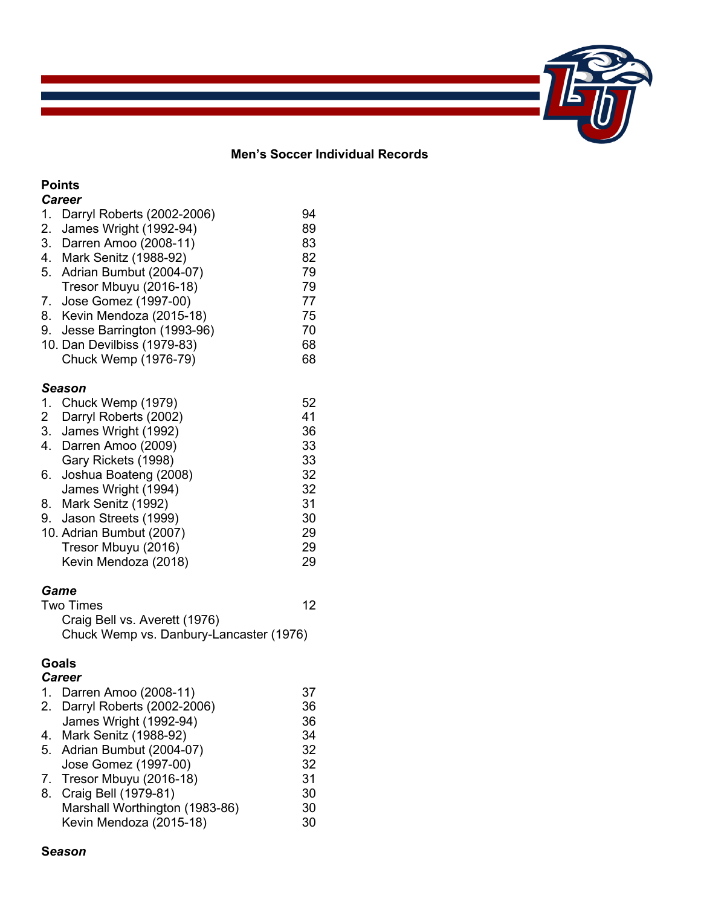# 

## **Men's Soccer Individual Records**

## **Points**

|                | <b>Career</b>                 |    |
|----------------|-------------------------------|----|
|                | 1. Darryl Roberts (2002-2006) | 94 |
| 2.             | James Wright (1992-94)        | 89 |
| 3.             | Darren Amoo (2008-11)         | 83 |
| 4.             | Mark Senitz (1988-92)         | 82 |
| 5.             | Adrian Bumbut (2004-07)       | 79 |
|                | Tresor Mbuyu (2016-18)        | 79 |
| 7.             | Jose Gomez (1997-00)          | 77 |
| 8.             | Kevin Mendoza (2015-18)       | 75 |
| 9.             | Jesse Barrington (1993-96)    | 70 |
|                | 10. Dan Devilbiss (1979-83)   | 68 |
|                | Chuck Wemp (1976-79)          | 68 |
|                |                               |    |
|                | Season                        |    |
|                |                               |    |
| 1.             | Chuck Wemp (1979)             | 52 |
| $\overline{2}$ | Darryl Roberts (2002)         | 41 |
| 3.             | James Wright (1992)           | 36 |
| 4.             | Darren Amoo (2009)            | 33 |
|                | Gary Rickets (1998)           | 33 |
| 6.             | Joshua Boateng (2008)         | 32 |
|                | James Wright (1994)           | 32 |
| 8.             | Mark Senitz (1992)            | 31 |
| 9.             | Jason Streets (1999)          | 30 |
|                | 10. Adrian Bumbut (2007)      | 29 |
|                | Tresor Mbuyu (2016)           | 29 |
|                | Kevin Mendoza (2018)          | 29 |

## *Game*

| <b>Two Times</b>                        | 12 |
|-----------------------------------------|----|
| Craig Bell vs. Averett (1976)           |    |
| Chuck Wemp vs. Danbury-Lancaster (1976) |    |

## **Goals**

| <b>Career</b>                  |    |
|--------------------------------|----|
| 1. Darren Amoo (2008-11)       | 37 |
| 2. Darryl Roberts (2002-2006)  | 36 |
| James Wright (1992-94)         | 36 |
| 4. Mark Senitz (1988-92)       | 34 |
| 5. Adrian Bumbut (2004-07)     | 32 |
| Jose Gomez (1997-00)           | 32 |
| 7. Tresor Mbuyu (2016-18)      | 31 |
| 8. Craig Bell (1979-81)        | 30 |
| Marshall Worthington (1983-86) | 30 |
| Kevin Mendoza (2015-18)        | 30 |
|                                |    |

## **S***eason*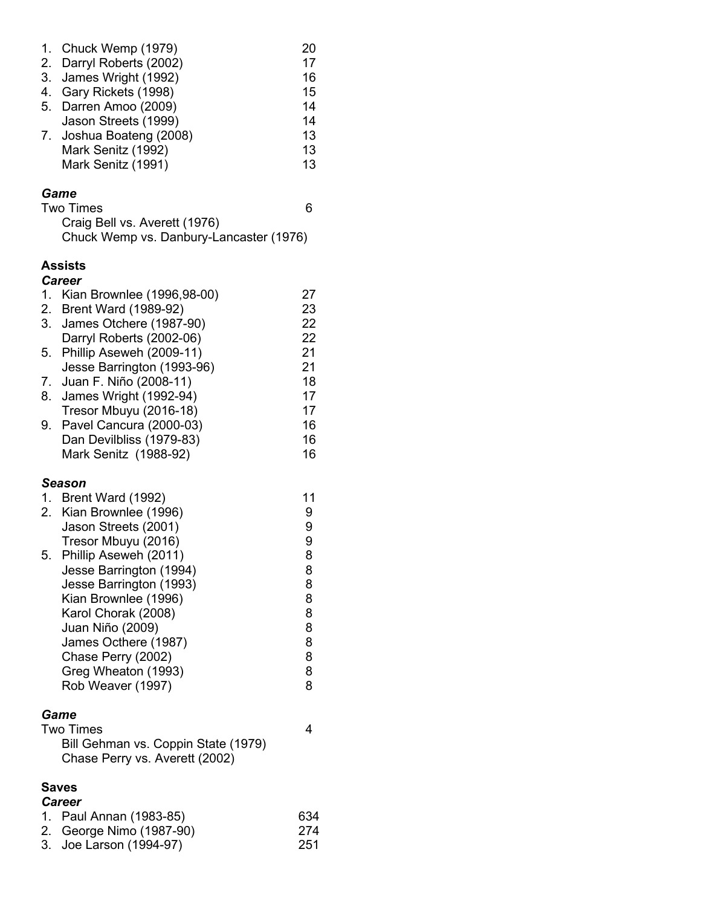| $\overline{1}$ . UNUUN YYUNIP (1919) | ∠∪ |
|--------------------------------------|----|
| 2. Darryl Roberts (2002)             | 17 |
| 3. James Wright (1992)               | 16 |
| 4. Gary Rickets (1998)               | 15 |
| 5. Darren Amoo (2009)                | 14 |
| Jason Streets (1999)                 | 14 |
| 7. Joshua Boateng (2008)             | 13 |
| Mark Senitz (1992)                   | 13 |
| Mark Senitz (1991)                   | 13 |
|                                      |    |

1. Chuck Wemp (1979) 20

## *Game*

Two Times 6

Craig Bell vs. Averett (1976) Chuck Wemp vs. Danbury-Lancaster (1976)

## **Assists**

## *Career* 1. Kian Brownlee (1996,98-00) 27 2. Brent Ward (1989-92) 23 3. James Otchere (1987-90) 22 Darryl Roberts (2002-06) 22 5. Phillip Aseweh (2009-11) 21 Jesse Barrington (1993-96) 21 7. Juan F. Niño (2008-11) 18 8. James Wright (1992-94) 17 Tresor Mbuyu (2016-18) 17 9. Pavel Cancura (2000-03) 16 Dan Devilbliss (1979-83) 16 Mark Senitz (1988-92) 16 *Season* 1. Brent Ward (1992) 1. 11<br>2. Kian Brownlee (1996) 1. 1998 2. Kian Brownlee (1996) Jason Streets (2001) 9 Tresor Mbuyu (2016) 9 5. Phillip Aseweh (2011) Jesse Barrington (1994) 8 Jesse Barrington (1993) 8 Kian Brownlee (1996) 8 Karol Chorak (2008) Juan Niño (2009) 8 James Octhere (1987) Chase Perry (2002) 8 Greg Wheaton (1993) 8 Rob Weaver (1997) 8 *Game*

| Game                                |   |
|-------------------------------------|---|
| <b>Two Times</b>                    | 4 |
| Bill Gehman vs. Coppin State (1979) |   |
| Chase Perry vs. Averett (2002)      |   |
|                                     |   |

#### **Saves** *Career*

| Career |                          |      |  |
|--------|--------------------------|------|--|
|        | 1. Paul Annan (1983-85)  | 634  |  |
|        | 2. George Nimo (1987-90) | -274 |  |
|        | 3. Joe Larson (1994-97)  | -251 |  |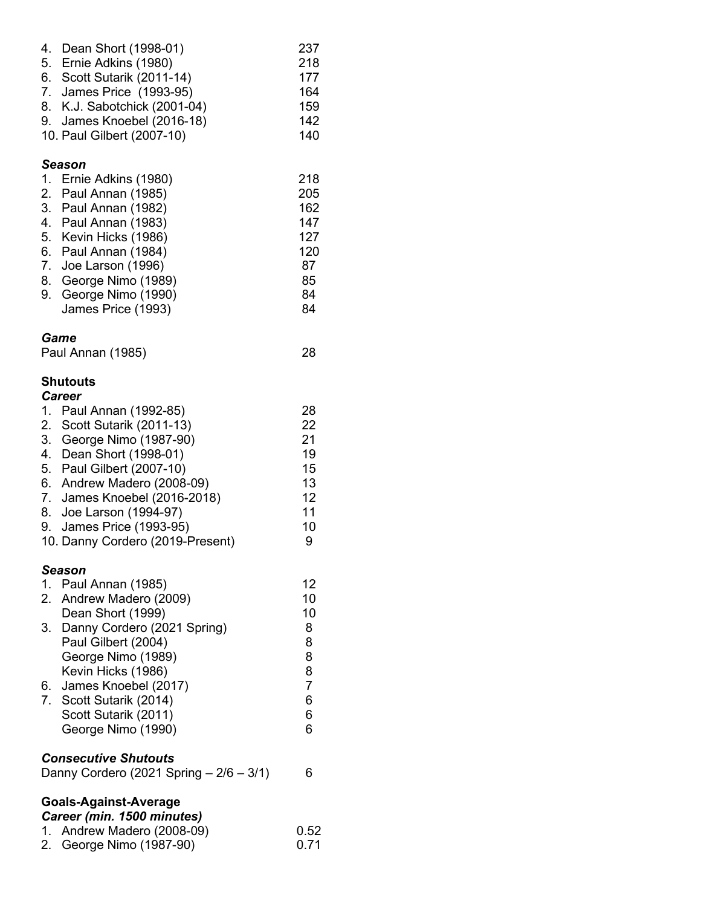| 4. Dean Short (1998-01)      | 237 |
|------------------------------|-----|
| 5. Ernie Adkins (1980)       | 218 |
| 6. Scott Sutarik (2011-14)   | 177 |
| 7. James Price (1993-95)     | 164 |
| 8. K.J. Sabotchick (2001-04) | 159 |
| 9. James Knoebel (2016-18)   | 142 |
| 10. Paul Gilbert (2007-10)   | 140 |
|                              |     |

## *Season*

| 1. Ernie Adkins (1980) | 218 |
|------------------------|-----|
| 2. Paul Annan (1985)   | 205 |
| 3. Paul Annan (1982)   | 162 |
| 4. Paul Annan (1983)   | 147 |
| 5. Kevin Hicks (1986)  | 127 |
| 6. Paul Annan (1984)   | 120 |
| 7. Joe Larson (1996)   | 87  |
| 8. George Nimo (1989)  | 85  |
| 9. George Nimo (1990)  | 84  |
| James Price (1993)     | 84  |
|                        |     |

## *Game*

| Paul Annan (1985) | 28 |
|-------------------|----|
|-------------------|----|

## **Shutouts** *Career*

| 1. | Paul Annan (1992-85)             | 28 |
|----|----------------------------------|----|
|    | 2. Scott Sutarik (2011-13)       | 22 |
| 3. | George Nimo (1987-90)            | 21 |
| 4. | Dean Short (1998-01)             | 19 |
| 5. | Paul Gilbert (2007-10)           | 15 |
|    | 6. Andrew Madero (2008-09)       | 13 |
|    | 7. James Knoebel (2016-2018)     | 12 |
|    | 8. Joe Larson (1994-97)          | 11 |
|    | 9. James Price (1993-95)         | 10 |
|    | 10. Danny Cordero (2019-Present) | 9  |
|    | Season                           |    |
|    | 1. Paul Annan (1985)             | 12 |
|    | 2. Andrew Madero (2009)          | 10 |
|    | Dean Short (1999)                | 10 |
|    | 3. Danny Cordero (2021 Spring)   | 8  |
|    | Paul Gilbert (2004)              | 8  |
|    |                                  |    |

|                         | 8                  |
|-------------------------|--------------------|
| Kevin Hicks (1986)      | 8                  |
| 6. James Knoebel (2017) |                    |
| 7. Scott Sutarik (2014) |                    |
| Scott Sutarik (2011)    | 6                  |
| George Nimo (1990)      | 6                  |
|                         | George Nimo (1989) |

## *Consecutive Shutouts*

| Danny Cordero (2021 Spring $-2/6 - 3/1$ ) |  |  |  |  |  |
|-------------------------------------------|--|--|--|--|--|
|-------------------------------------------|--|--|--|--|--|

# **Goals-Against-Average**

|  |  | Career (min. 1500 minutes)                                                                                                                                                                                                                                                                                                                                                           |  |
|--|--|--------------------------------------------------------------------------------------------------------------------------------------------------------------------------------------------------------------------------------------------------------------------------------------------------------------------------------------------------------------------------------------|--|
|  |  | $\overline{1}$ $\overline{1}$ $\overline{1}$ $\overline{1}$ $\overline{1}$ $\overline{1}$ $\overline{1}$ $\overline{1}$ $\overline{1}$ $\overline{1}$ $\overline{1}$ $\overline{1}$ $\overline{1}$ $\overline{1}$ $\overline{1}$ $\overline{1}$ $\overline{1}$ $\overline{1}$ $\overline{1}$ $\overline{1}$ $\overline{1}$ $\overline{1}$ $\overline{1}$ $\overline{1}$ $\overline{$ |  |

1. Andrew Madero (2008-09) 0.52 2. George Nimo (1987-90)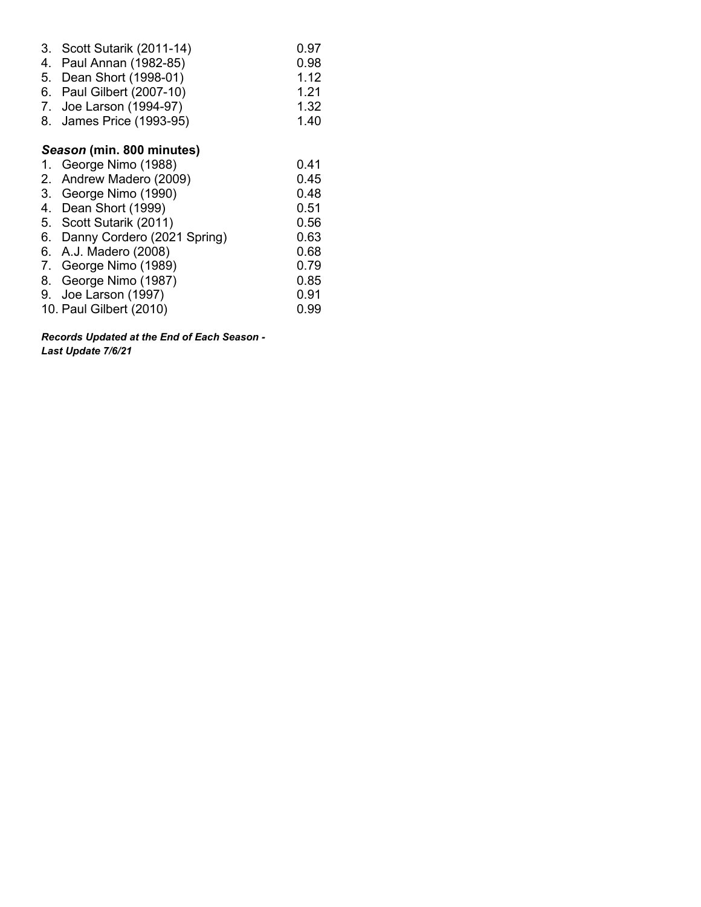| 3. Scott Sutarik (2011-14) | 0.97 |
|----------------------------|------|
| 4. Paul Annan (1982-85)    | 0.98 |
| 5. Dean Short (1998-01)    | 1.12 |
| 6. Paul Gilbert (2007-10)  | 1.21 |
| 7. Joe Larson (1994-97)    | 1.32 |
| 8. James Price (1993-95)   | 1.40 |
|                            |      |
|                            |      |

## *Season* **(min. 800 minutes)**

| 1. George Nimo (1988)          | 0.41 |
|--------------------------------|------|
| 2. Andrew Madero (2009)        | 0.45 |
| 3. George Nimo (1990)          | 0.48 |
| 4. Dean Short (1999)           | 0.51 |
| 5. Scott Sutarik (2011)        | 0.56 |
| 6. Danny Cordero (2021 Spring) | 0.63 |
| 6. A.J. Madero (2008)          | 0.68 |
| 7. George Nimo (1989)          | 0.79 |
| 8. George Nimo (1987)          | 0.85 |
| 9. Joe Larson (1997)           | 0.91 |
| 10. Paul Gilbert (2010)        | 0.99 |
|                                |      |

*Records Updated at the End of Each Season - Last Update 7/6/21*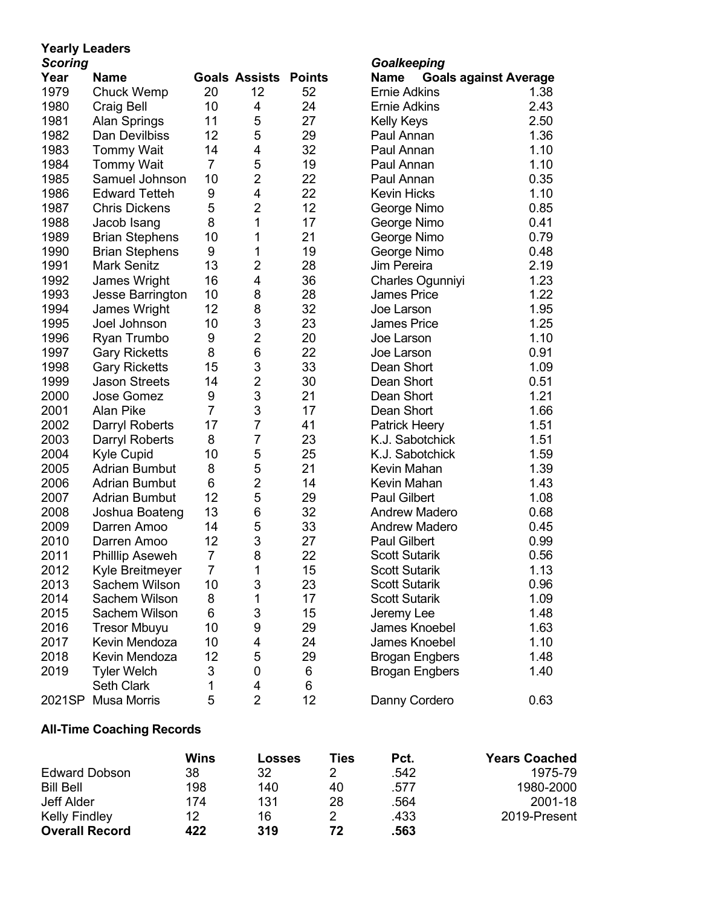# **Yearly Leaders**

| - - -<br><b>Scoring</b><br>Goalkeeping |                         |                |                         |               |                                      |
|----------------------------------------|-------------------------|----------------|-------------------------|---------------|--------------------------------------|
| Year                                   | <b>Name</b>             |                | <b>Goals Assists</b>    | <b>Points</b> | <b>Goals against Average</b><br>Name |
| 1979                                   | <b>Chuck Wemp</b>       | 20             | 12                      | 52            | <b>Ernie Adkins</b><br>1.38          |
| 1980                                   | Craig Bell              | 10             | 4                       | 24            | 2.43<br><b>Ernie Adkins</b>          |
| 1981                                   | <b>Alan Springs</b>     | 11             | 5                       | 27            | 2.50<br><b>Kelly Keys</b>            |
| 1982                                   | Dan Devilbiss           | 12             | 5                       | 29            | 1.36<br>Paul Annan                   |
| 1983                                   | <b>Tommy Wait</b>       | 14             | 4                       | 32            | 1.10<br>Paul Annan                   |
| 1984                                   | <b>Tommy Wait</b>       | $\overline{7}$ | 5                       | 19            | Paul Annan<br>1.10                   |
| 1985                                   | Samuel Johnson          | 10             | $\overline{2}$          | 22            | 0.35<br>Paul Annan                   |
| 1986                                   | <b>Edward Tetteh</b>    | 9              | 4                       | 22            | 1.10<br><b>Kevin Hicks</b>           |
| 1987                                   | <b>Chris Dickens</b>    | 5              | $\overline{2}$          | 12            | 0.85<br>George Nimo                  |
| 1988                                   | Jacob Isang             | 8              | 1                       | 17            | 0.41<br>George Nimo                  |
| 1989                                   | <b>Brian Stephens</b>   | 10             | 1                       | 21            | 0.79<br>George Nimo                  |
| 1990                                   | <b>Brian Stephens</b>   | 9              | 1                       | 19            | 0.48<br>George Nimo                  |
| 1991                                   | <b>Mark Senitz</b>      | 13             | $\overline{\mathbf{c}}$ | 28            | Jim Pereira<br>2.19                  |
| 1992                                   | James Wright            | 16             | 4                       | 36            | 1.23<br>Charles Ogunniyi             |
| 1993                                   | <b>Jesse Barrington</b> | 10             | 8                       | 28            | 1.22<br><b>James Price</b>           |
| 1994                                   | James Wright            | 12             | 8                       | 32            | 1.95<br>Joe Larson                   |
| 1995                                   | Joel Johnson            | 10             | 3                       | 23            | 1.25<br><b>James Price</b>           |
| 1996                                   | Ryan Trumbo             | 9              | $\overline{2}$          | 20            | 1.10<br>Joe Larson                   |
| 1997                                   | <b>Gary Ricketts</b>    | 8              | 6                       | 22            | 0.91<br>Joe Larson                   |
| 1998                                   | <b>Gary Ricketts</b>    | 15             | 3                       | 33            | Dean Short<br>1.09                   |
| 1999                                   | <b>Jason Streets</b>    | 14             | $\overline{2}$          | 30            | Dean Short<br>0.51                   |
| 2000                                   | <b>Jose Gomez</b>       | 9              | 3                       | 21            | Dean Short<br>1.21                   |
| 2001                                   | <b>Alan Pike</b>        | $\overline{7}$ | 3                       | 17            | Dean Short<br>1.66                   |
| 2002                                   | Darryl Roberts          | 17             | $\overline{7}$          | 41            | 1.51<br><b>Patrick Heery</b>         |
| 2003                                   | Darryl Roberts          | 8              | $\overline{7}$          | 23            | K.J. Sabotchick<br>1.51              |
| 2004                                   | Kyle Cupid              | 10             | 5                       | 25            | K.J. Sabotchick<br>1.59              |
| 2005                                   | <b>Adrian Bumbut</b>    | 8              | 5                       | 21            | 1.39<br>Kevin Mahan                  |
| 2006                                   | <b>Adrian Bumbut</b>    | 6              | $\overline{2}$          | 14            | 1.43<br>Kevin Mahan                  |
| 2007                                   | <b>Adrian Bumbut</b>    | 12             | 5                       | 29            | <b>Paul Gilbert</b><br>1.08          |
| 2008                                   | Joshua Boateng          | 13             | 6                       | 32            | <b>Andrew Madero</b><br>0.68         |
| 2009                                   | Darren Amoo             | 14             | 5                       | 33            | 0.45<br><b>Andrew Madero</b>         |
| 2010                                   | Darren Amoo             | 12             | 3                       | 27            | <b>Paul Gilbert</b><br>0.99          |
| 2011                                   | Phillip Aseweh          | $\overline{7}$ | 8                       | 22            | <b>Scott Sutarik</b><br>0.56         |
| 2012                                   | Kyle Breitmeyer         | $\overline{7}$ | Τ                       | 15            | <b>Scott Sutarik</b><br>1.13         |
| 2013                                   | Sachem Wilson           | 10             | 3                       | 23            | <b>Scott Sutarik</b><br>0.96         |
| 2014                                   | Sachem Wilson           | 8              | 1                       | 17            | <b>Scott Sutarik</b><br>1.09         |
| 2015                                   | Sachem Wilson           | 6              | 3                       | 15            | Jeremy Lee<br>1.48                   |
| 2016                                   | <b>Tresor Mbuyu</b>     | 10             | 9                       | 29            | James Knoebel<br>1.63                |
| 2017                                   | Kevin Mendoza           | 10             | 4                       | 24            | James Knoebel<br>1.10                |
| 2018                                   | Kevin Mendoza           | 12             | 5                       | 29            | 1.48<br><b>Brogan Engbers</b>        |
| 2019                                   | <b>Tyler Welch</b>      | 3              | $\boldsymbol{0}$        | 6             | 1.40<br><b>Brogan Engbers</b>        |
|                                        | <b>Seth Clark</b>       | 1              | 4                       | 6             |                                      |
| 2021SP                                 | <b>Musa Morris</b>      | 5              | $\overline{2}$          | 12            | Danny Cordero<br>0.63                |

## **All-Time Coaching Records**

|                       | Wins | Losses | Ties | Pct. | <b>Years Coached</b> |
|-----------------------|------|--------|------|------|----------------------|
| <b>Edward Dobson</b>  | 38   | 32     |      | .542 | 1975-79              |
| <b>Bill Bell</b>      | 198  | 140    | 40   | .577 | 1980-2000            |
| Jeff Alder            | 174  | 131    | 28   | .564 | 2001-18              |
| <b>Kelly Findley</b>  | 12   | 16     |      | .433 | 2019-Present         |
| <b>Overall Record</b> | 422  | 319    | 72   | .563 |                      |